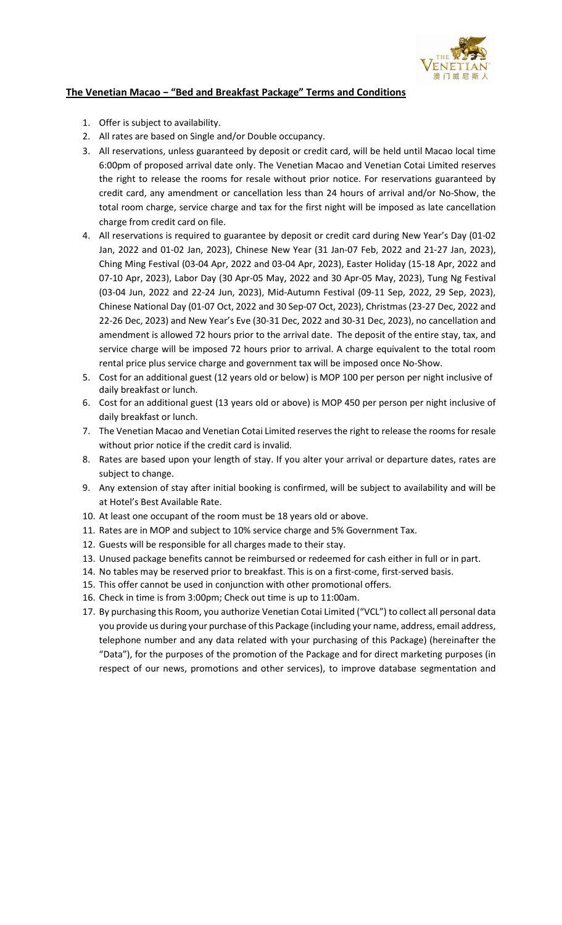

## The Venetian Macao − "Bed and Breakfast Package" Terms and Conditions

- 1. Offer is subject to availability.
- 2. All rates are based on Single and/or Double occupancy.
- 3. All reservations, unless guaranteed by deposit or credit card, will be held until Macao local time 6:00pm of proposed arrival date only. The Venetian Macao and Venetian Cotai Limited reserves the right to release the rooms for resale without prior notice. For reservations guaranteed by credit card, any amendment or cancellation less than 24 hours of arrival and/or No-Show, the total room charge, service charge and tax for the first night will be imposed as late cancellation charge from credit card on file.
- 4. All reservations is required to guarantee by deposit or credit card during New Year's Day (01-02 Jan, 2022 and 01-02 Jan, 2023), Chinese New Year (31 Jan-07 Feb, 2022 and 21-27 Jan, 2023), Ching Ming Festival (03-04 Apr, 2022 and 03-04 Apr, 2023), Easter Holiday (15-18 Apr, 2022 and 07-10 Apr, 2023), Labor Day (30 Apr-05 May, 2022 and 30 Apr-05 May, 2023), Tung Ng Festival (03-04 Jun, 2022 and 22-24 Jun, 2023), Mid-Autumn Festival (09-11 Sep, 2022, 29 Sep, 2023), Chinese National Day (01-07 Oct, 2022 and 30 Sep-07 Oct, 2023), Christmas (23-27 Dec, 2022 and 22-26 Dec, 2023) and New Year's Eve (30-31 Dec, 2022 and 30-31 Dec, 2023), no cancellation and amendment is allowed 72 hours prior to the arrival date. The deposit of the entire stay, tax, and service charge will be imposed 72 hours prior to arrival. A charge equivalent to the total room rental price plus service charge and government tax will be imposed once No-Show.
- 5. Cost for an additional guest (12 years old or below) is MOP 100 per person per night inclusive of daily breakfast or lunch.
- 6. Cost for an additional guest (13 years old or above) is MOP 450 per person per night inclusive of daily breakfast or lunch.
- 7. The Venetian Macao and Venetian Cotai Limited reserves the right to release the rooms for resale without prior notice if the credit card is invalid.
- 8. Rates are based upon your length of stay. If you alter your arrival or departure dates, rates are subject to change.
- 9. Any extension of stay after initial booking is confirmed, will be subject to availability and will be at Hotel's Best Available Rate.
- 10. At least one occupant of the room must be 18 years old or above.
- 11. Rates are in MOP and subject to 10% service charge and 5% Government Tax.
- 12. Guests will be responsible for all charges made to their stay.
- 13. Unused package benefits cannot be reimbursed or redeemed for cash either in full or in part.
- 14. No tables may be reserved prior to breakfast. This is on a first-come, first-served basis.
- 15. This offer cannot be used in conjunction with other promotional offers.
- 16. Check in time is from 3:00pm; Check out time is up to 11:00am.
- 17. By purchasing this Room, you authorize Venetian Cotai Limited ("VCL") to collect all personal data you provide us during your purchase of this Package (including your name, address, email address, telephone number and any data related with your purchasing of this Package) (hereinafter the "Data"), for the purposes of the promotion of the Package and for direct marketing purposes (in respect of our news, promotions and other services), to improve database segmentation and